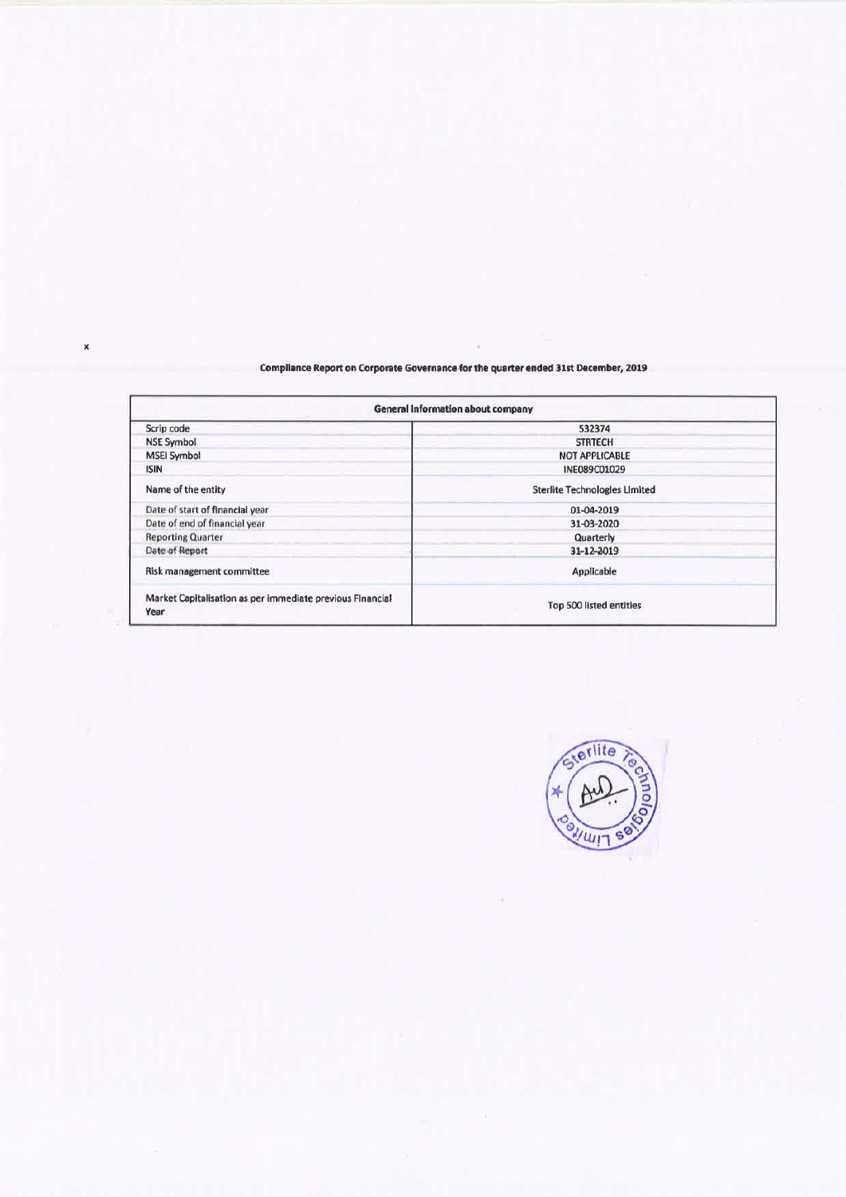## **Compliance Report on Corporate Governance-for the quarter ended 31st December, 2019**

| <b>General Information about company</b>                          |                                      |  |  |  |  |
|-------------------------------------------------------------------|--------------------------------------|--|--|--|--|
| Scrip code                                                        | 532374                               |  |  |  |  |
| <b>NSE Symbol</b>                                                 | <b>STRTECH</b>                       |  |  |  |  |
| <b>MSEI Symbol</b>                                                | <b>NOT APPLICABLE</b>                |  |  |  |  |
| <b>ISIN</b>                                                       | INE089C01029                         |  |  |  |  |
| Name of the entity                                                | <b>Sterlite Technologies Limited</b> |  |  |  |  |
| Date of start of financial year                                   | 01-04-2019                           |  |  |  |  |
| Date of end of financial year                                     | 31-03-2020                           |  |  |  |  |
| <b>Reporting Quarter</b>                                          | Quarterly                            |  |  |  |  |
| Date of Report                                                    | 31-12-2019                           |  |  |  |  |
| Risk management committee                                         | Applicable                           |  |  |  |  |
| Market Capitalisation as per immediate previous Financial<br>Year | Top 500 listed entities              |  |  |  |  |

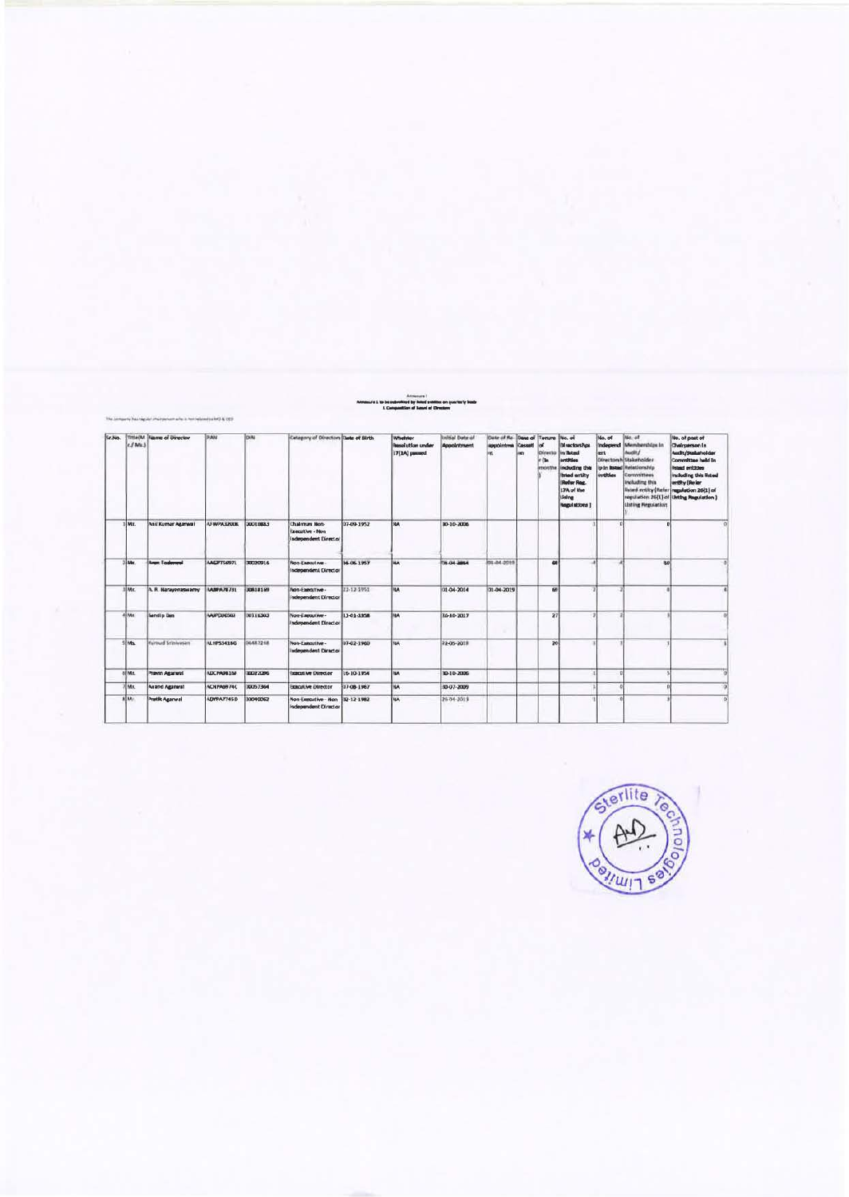| Sr.No. | c / Mn      | <b>Title(M. Scame of Director</b> | PAN                | DIN             | Category of Directors Date of Birth                             |              | Whelder<br><b>Resolution under</b><br>17(1A) pussed | In sted leithi<br><b>Appointment</b> | Date of Re- Date of Terame<br><b>Rossolintma Cassett</b><br>int. | im. | <b>Directo</b><br><b>Clay</b><br>encents | <b>Teo.</b> of<br>Directorshop<br>in listed<br>arrifties<br>including this<br>Islad entity<br><b>Defer Rose</b><br>17A of the<br><b>Using</b><br>Regulations 1 | No. of<br>Independ<br>ant<br><i>instities</i> | No. of<br>Memberghize In<br>Directorshi Stakeholder<br>ip in listed Relationship<br>Committees<br><b>Including this</b><br><b>Listing Regulation</b> | No. of post of<br><b>Chairperson In</b><br>Audit/Stakeholder<br>Committee held In<br>Islad entities<br>including this listed<br>entity (Refer<br>listed entity (Refer regulation 26(1) of<br>regulation 26(1) of Listing Regulation ) |
|--------|-------------|-----------------------------------|--------------------|-----------------|-----------------------------------------------------------------|--------------|-----------------------------------------------------|--------------------------------------|------------------------------------------------------------------|-----|------------------------------------------|----------------------------------------------------------------------------------------------------------------------------------------------------------------|-----------------------------------------------|------------------------------------------------------------------------------------------------------------------------------------------------------|---------------------------------------------------------------------------------------------------------------------------------------------------------------------------------------------------------------------------------------|
|        | lMr.        | And Kumar Agarwai                 | <b>AFWPA3200K</b>  | 00010883        | Chairman Non-<br><b>Executive - Non</b><br>Independent Director | 07-09-1952   | <b>HA</b>                                           | 80-10-2006                           |                                                                  |     |                                          |                                                                                                                                                                |                                               |                                                                                                                                                      |                                                                                                                                                                                                                                       |
|        | Links.      | <b>Arge Todgewal</b>              | <b>MAPTS697L</b>   | 00020916        | Non-Executive -<br>Independent Director                         | 16-06-1957   | <b>HA</b>                                           | <b>1006-00-07</b>                    | 01-04-0015                                                       |     | 6H                                       |                                                                                                                                                                |                                               | 30                                                                                                                                                   |                                                                                                                                                                                                                                       |
|        | time.       | A. R. Narayanaswarny              | <b>MARPA 78731</b> | 00818169        | Non-Executive -<br>independent Director                         | 22-12-1951   | <b>HA</b>                                           | 01-04-2014                           | 31-04-2019                                                       |     | 66                                       |                                                                                                                                                                |                                               |                                                                                                                                                      |                                                                                                                                                                                                                                       |
|        | <b>ELME</b> | <b>Sandip Das</b>                 | <b>AAIPENROU</b>   | 00116303        | NOR-EMPOUTING -<br>Independent Director                         | 13-01-1954   | <b>HA</b>                                           | 16-10-2017                           |                                                                  |     | 27                                       |                                                                                                                                                                |                                               |                                                                                                                                                      |                                                                                                                                                                                                                                       |
|        | <b>IMEL</b> | <b>Kurnud Stinivesan</b>          | <b>N.HPS3418G</b>  | 06482248        | Non-Executive.<br>Independent Director                          | 37-02-1960   | MA                                                  | 22-05-2011                           |                                                                  |     | 20                                       |                                                                                                                                                                |                                               |                                                                                                                                                      |                                                                                                                                                                                                                                       |
|        | oliver.     | Pravin Agarwal                    | ADCPA9816F         | 33022396        | <b>SOLUTIVE DIRECTOR</b>                                        | 16-10-1954   | NA                                                  | 10-10-2006                           |                                                                  |     |                                          |                                                                                                                                                                |                                               |                                                                                                                                                      |                                                                                                                                                                                                                                       |
|        | IMI.        | <b>Anand Aganeal</b>              | ACNPASS 74C        | <b>RX757364</b> | <b>Executive Director</b>                                       | $07-08-1967$ | <b>HA</b>                                           | 10-07-2009                           |                                                                  |     |                                          |                                                                                                                                                                |                                               |                                                                                                                                                      | $\overline{a}$                                                                                                                                                                                                                        |
|        | <b>NIM</b>  | <b>Pratik Agarwal</b>             | ADVPA7745D         | 33040062        | Non-Executive - Non<br>Independent Director                     | 32-12-1982   | <b>HA</b>                                           | 26-04-2019                           |                                                                  |     |                                          |                                                                                                                                                                | $\alpha$                                      |                                                                                                                                                      | ö                                                                                                                                                                                                                                     |

and by Subard anatom

any haa nagatan' indrindrana area ao amin'ny faritr'i NOE 2003.<br>Ny

inis

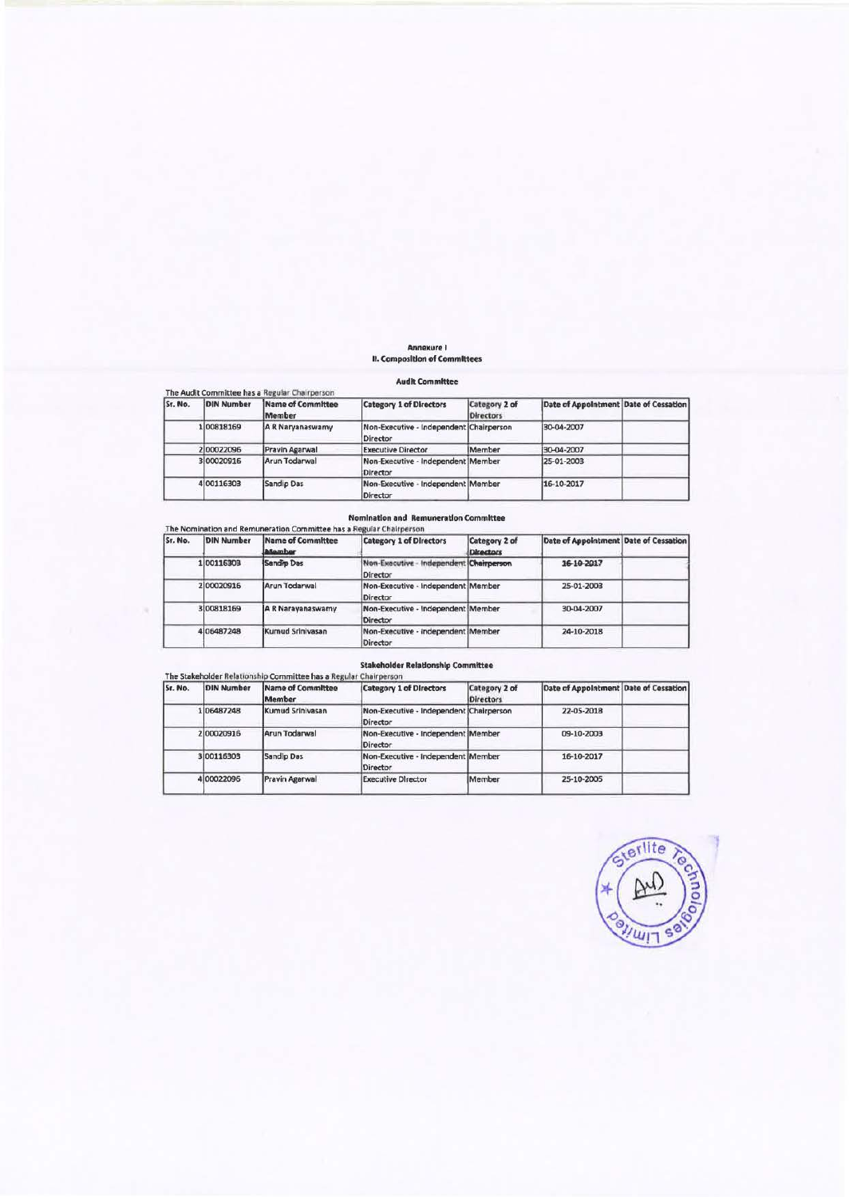# **Annexure I**  II. Composldon of Committees

#### **Audit** Committee

|         |                   | The Audit Committee has a Regular Chairperson |                                                     |                                   |                                       |  |
|---------|-------------------|-----------------------------------------------|-----------------------------------------------------|-----------------------------------|---------------------------------------|--|
| Sr. No. | <b>DIN Number</b> | Name of Committee<br>Member                   | <b>Category 1 of Directors</b>                      | Category 2 of<br><b>Directors</b> | Date of Appointment Date of Cessation |  |
|         | 100818169         | A R Naryanaswamy                              | Non-Executive - Independent Chairperson<br>Director |                                   | 30-04-2007                            |  |
|         | 200022096         | Pravin Agarwal                                | <b>Executive Director</b>                           | Member                            | 30-04-2007                            |  |
|         | 300020916         | Arun Todarwal                                 | Non-Executive - Independent   Member<br>Director    |                                   | 25-01-2003                            |  |
|         | 4100116303        | <b>Sandio Das</b>                             | Non-Executive - Independent Member<br>Director      |                                   | 16-10-2017                            |  |

### Nomination and Remuneration Committee

|  | The Nomination and Remuneration Committee has a Regular Chairperson |
|--|---------------------------------------------------------------------|
|  |                                                                     |

| Sr. No. | <b>DIN Number</b> | Name of Committee<br>Mamher | <b>Category 1 of Directors</b>                        | Category 2 of<br>Directors | Date of Appointment Date of Cessation |  |
|---------|-------------------|-----------------------------|-------------------------------------------------------|----------------------------|---------------------------------------|--|
|         | 1 0011 6303       | Sandio Das                  | Non-Executive - Independent   Chairperson<br>Director |                            | 16-10-2017                            |  |
|         | 200020916         | Arun Todarwal               | Non-Executive - Independent   Member<br>Director      |                            | 25-01-2003                            |  |
|         | 300818169         | A R Narayanaswamy           | Non-Executive - Independent Member<br>Director        |                            | 30-04-2007                            |  |
|         | 406487248         | Kumud Srinivasan            | Non-Executive - Independent   Member<br>Director      |                            | 24-10-2018                            |  |

### **Stakeholder Relatlonshlp Committee**

| Sr. No. | <b>DIN Number</b> | Name of Committee<br>Member | <b>Category 1 of Directors</b>                      | Category 2 of<br><b>Directors</b> | Date of Appointment Date of Cessation |  |
|---------|-------------------|-----------------------------|-----------------------------------------------------|-----------------------------------|---------------------------------------|--|
|         | 106487248         | Kumud Sriniyasan            | Non-Executive - Independent Chairperson<br>Director |                                   | 22-05-2018                            |  |
|         | 200020916         | Arun Todarwal               | Non-Executive - Independent Member<br>Director      |                                   | 09-10-2003                            |  |
|         | 3100116303        | Sandlo Das                  | Non-Executive - Independent Member<br>Director      |                                   | 16-10-2017                            |  |
|         | 400022096         | Pravin Agarwal              | <b>Executive Director</b>                           | Member                            | 25-10-2005                            |  |

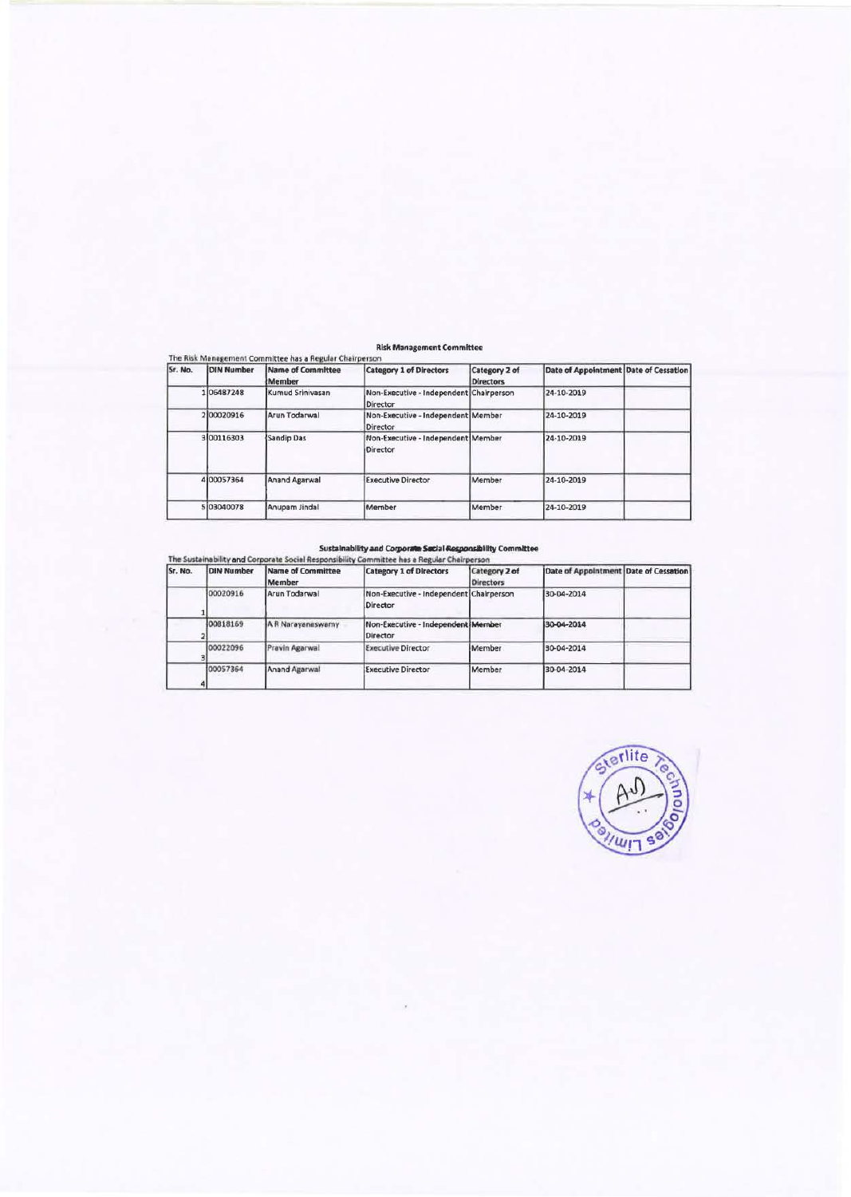#### **Risk Management Committee**

| Sr. No. | <b>DIN Number</b> | Name of Committee<br>Member | <b>Category 1 of Directors</b>                             | Category 2 of<br><b>Directors</b> | Date of Appointment Date of Cessation |  |
|---------|-------------------|-----------------------------|------------------------------------------------------------|-----------------------------------|---------------------------------------|--|
|         | 106487248         | Kumud Sriniyasan            | Non-Executive - Independent Chairperson<br><b>Director</b> |                                   | 24-10-2019                            |  |
|         | 200020916         | Arun Todarwal               | Non-Executive - Independent Member<br><b>Director</b>      |                                   | 24-10-2019                            |  |
|         | 300116303         | Sandip Das                  | Non-Executive - Independent Member<br>Director             |                                   | 24-10-2019                            |  |
|         | 4100057364        | <b>Anand Agarwal</b>        | <b>Executive Director</b>                                  | Member                            | 24-10-2019                            |  |
|         | 5 03040078        | Anupam Jindal               | Member                                                     | Member                            | 24-10-2019                            |  |

Sustainability and Corporate Sustainability and Corporate Secial Responsibility<br>The Sustainability and Corporate Social Responsibility Committee has a Regular Chairperson<br>The Manufacture of Committee Manufacture (Sabandary

| 131. NO. | IDIN Number | <b>IName of Committee</b><br>Member | <b>ICategory 1 of Directors</b>                     | Category 2 of<br><b>Directors</b> | Date of Appointment Date of Cessation |  |
|----------|-------------|-------------------------------------|-----------------------------------------------------|-----------------------------------|---------------------------------------|--|
|          | 00020916    | Arun Todarwal                       | Non-Executive - Independent Chairperson<br>Director |                                   | 30-04-2014                            |  |
|          | 00818169    | A R Narayanaswamy                   | Non-Executive - Independent Member<br>Director      |                                   | 30-04-2014                            |  |
|          | 00022096    | Pravin Agarwal                      | <b>Executive Director</b>                           | Member                            | 30-04-2014                            |  |
|          | 00057364    | Anand Agarwal                       | <b>Executive Director</b>                           | Member                            | 30-04-2014                            |  |

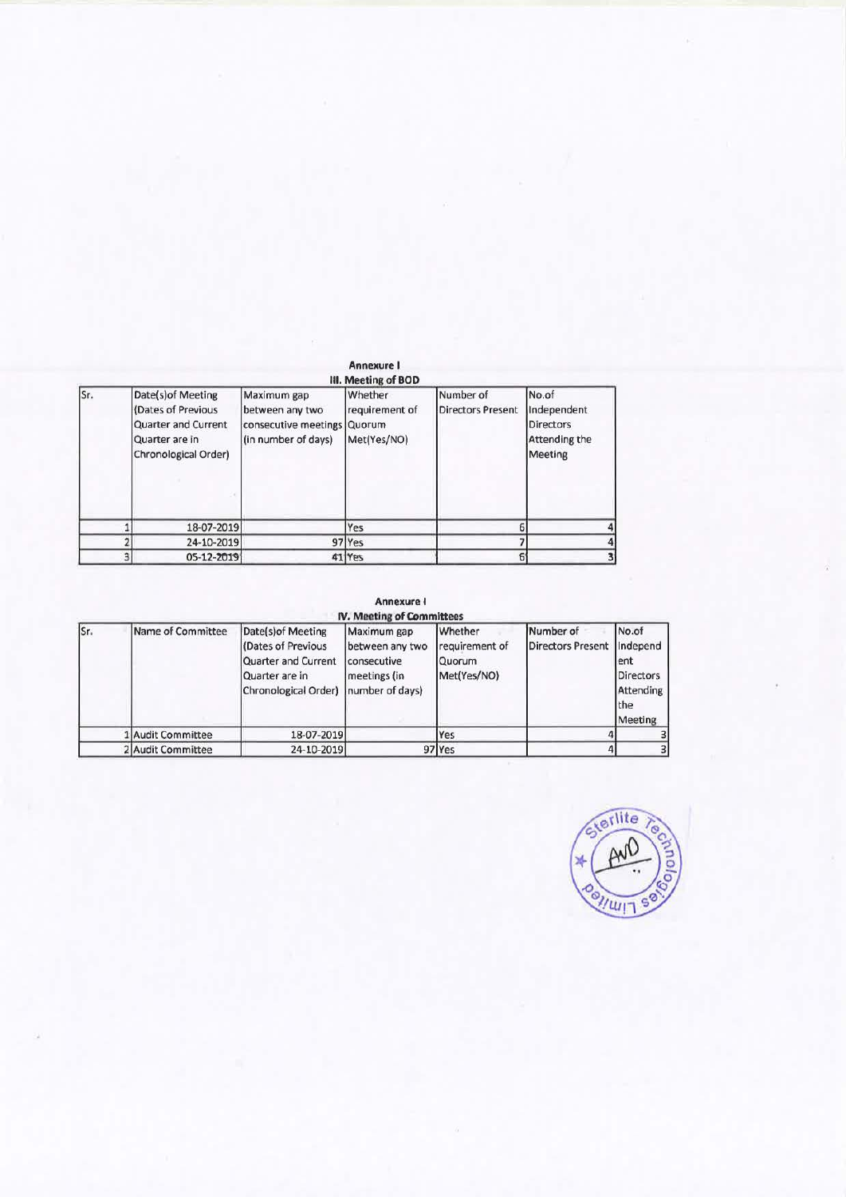|     |                                                                                                           |                                                                               | <b>Annexure I</b><br>III. Meeting of BOD           |                                       |                                                                      |
|-----|-----------------------------------------------------------------------------------------------------------|-------------------------------------------------------------------------------|----------------------------------------------------|---------------------------------------|----------------------------------------------------------------------|
| Sr. | Date(s) of Meeting<br>(Dates of Previous<br>Quarter and Current<br>Quarter are in<br>Chronological Order) | Maximum gap<br>between any two<br>consecutive meetings<br>(in number of days) | Whether<br>requirement of<br>Quorum<br>Met(Yes/NO) | Number of<br><b>Directors Present</b> | No.of<br>Independent<br><b>Directors</b><br>Attending the<br>Meeting |
|     | 18-07-2019                                                                                                |                                                                               | Yes                                                |                                       |                                                                      |
|     | 24-10-2019                                                                                                | 97                                                                            | <b>Yes</b>                                         |                                       |                                                                      |
|     | 05-12-2019                                                                                                |                                                                               | 41 Yes                                             |                                       |                                                                      |

# **Annexure I**

|     |                   |                                                                                                                           | <b>IV. Meeting of Committees</b>                              |                                                    |                                       |                                                                             |
|-----|-------------------|---------------------------------------------------------------------------------------------------------------------------|---------------------------------------------------------------|----------------------------------------------------|---------------------------------------|-----------------------------------------------------------------------------|
| Sr. | Name of Committee | Date(s) of Meeting<br>(Dates of Previous<br>Quarter and Current<br>Quarter are in<br>Chronological Order) number of days) | Maximum gap<br>between any two<br>consecutive<br>meetings (in | Whether<br>requirement of<br>Quorum<br>Met(Yes/NO) | Number of<br><b>Directors Present</b> | No.of<br>Independ<br>ent<br><b>Directors</b><br>Attending<br>the<br>Meeting |
|     | I Audit Committee | 18-07-2019                                                                                                                |                                                               | Yes                                                |                                       |                                                                             |
|     | 2 Audit Committee | 24-10-2019                                                                                                                |                                                               | 97 Yes                                             |                                       |                                                                             |

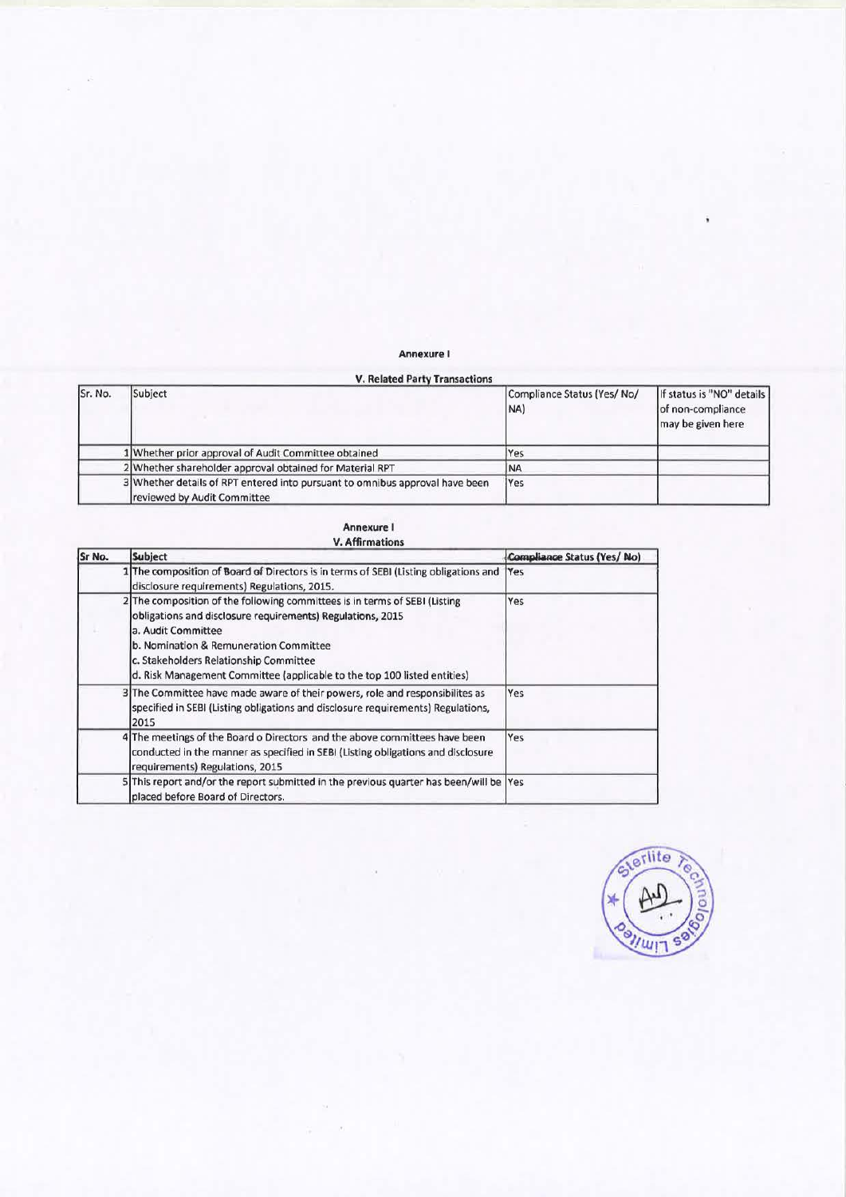## **Annexure** I

|         | <b>V. Related Party Transactions</b>                                                                        |                                   |                                                                     |
|---------|-------------------------------------------------------------------------------------------------------------|-----------------------------------|---------------------------------------------------------------------|
| Sr. No. | Subject                                                                                                     | Compliance Status (Yes/No/<br>NA) | If status is "NO" details<br>of non-compliance<br>may be given here |
|         | 1 Whether prior approval of Audit Committee obtained                                                        | Yes                               |                                                                     |
|         | 2 Whether shareholder approval obtained for Material RPT                                                    | <b>INA</b>                        |                                                                     |
|         | 3 Whether details of RPT entered into pursuant to omnibus approval have been<br>reviewed by Audit Committee | <b>IYes</b>                       |                                                                     |

| <b>Annexure I</b>      |
|------------------------|
| <b>V. Affirmations</b> |

| Sr No. | Subject                                                                                                                                                                                                                                                                                                                        | Compliance Status (Yes/ No) |
|--------|--------------------------------------------------------------------------------------------------------------------------------------------------------------------------------------------------------------------------------------------------------------------------------------------------------------------------------|-----------------------------|
|        | 1 The composition of Board of Directors is in terms of SEBI (Listing obligations and<br>disclosure requirements) Regulations, 2015.                                                                                                                                                                                            | <b>Yes</b>                  |
|        | 2 The composition of the following committees is in terms of SEBI (Listing<br>obligations and disclosure requirements) Regulations, 2015<br>a. Audit Committee<br>b. Nomination & Remuneration Committee<br>c. Stakeholders Relationship Committee<br>d. Risk Management Committee (applicable to the top 100 listed entities) | Yes                         |
|        | 3 The Committee have made aware of their powers, role and responsibilites as<br>specified in SEBI (Listing obligations and disclosure requirements) Regulations,<br>2015                                                                                                                                                       | Yes                         |
|        | 4 The meetings of the Board o Directors and the above committees have been<br>conducted in the manner as specified in SEBI (Listing obligations and disclosure<br>requirements) Regulations, 2015                                                                                                                              | Yes                         |
|        | 5 This report and/or the report submitted in the previous quarter has been/will be Yes<br>placed before Board of Directors.                                                                                                                                                                                                    |                             |